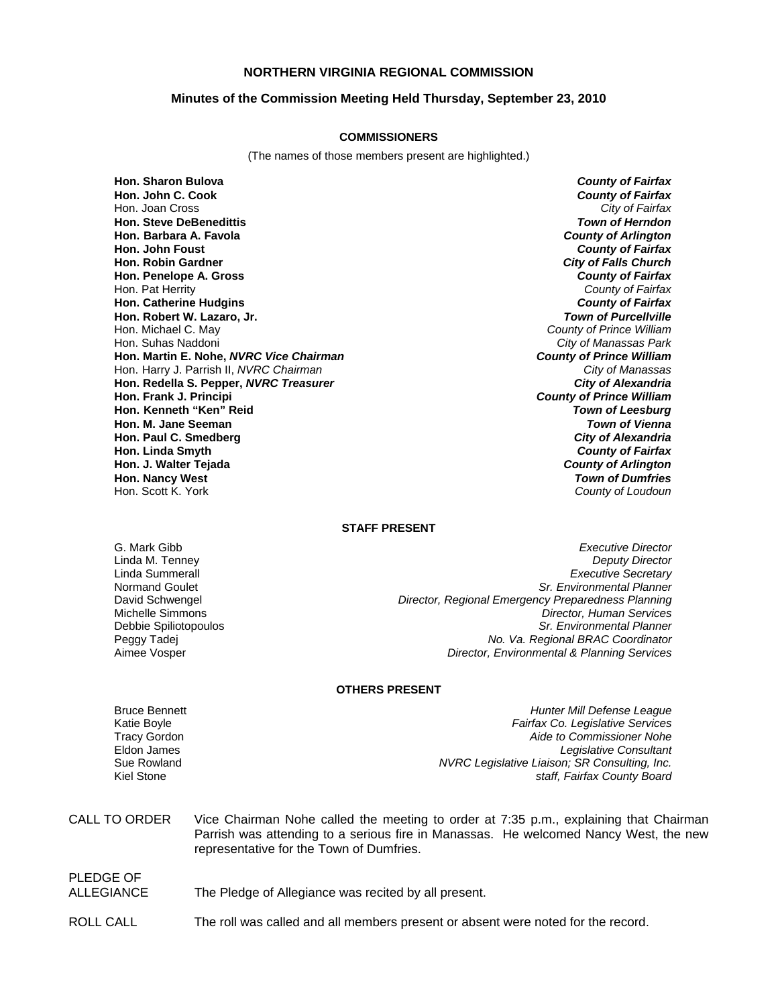# **NORTHERN VIRGINIA REGIONAL COMMISSION**

## **Minutes of the Commission Meeting Held Thursday, September 23, 2010**

#### **COMMISSIONERS**

(The names of those members present are highlighted.)

**Hon. Sharon Bulova** *County of Fairfax* **Hon. John C. Cook** *County of Fairfax* Hon. Joan Cross **Hon. Steve DeBenedittis** *Town of Herndon* **Hon. Barbara A. Favola** *County of Arlington* **Hon. John Foust** *County of Fairfax* **Hon. Robin Gardner** *City of Falls Church* **Hon. Penelope A. Gross** *County of Fairfax* Hon. Pat Herrity *County of Fairfax* **Hon. Catherine Hudgins Hon. Robert W. Lazaro, Jr.** *Town of Purcellville* Hon. Suhas Naddoni *City of Manassas Park* **Hon. Martin E. Nohe,** *NVRC Vice Chairman County of Prince William* **Hon. Harry J. Parrish II,** *NVRC Chairman* **Hon. Redella S. Pepper,** *NVRC Treasurer City of Alexandria* **Hon. Frank J. Principi** *County of Prince William* **Hon. Kenneth "Ken" Reid** *Town of Leesburg* **Hon. M. Jane Seeman** *Town of Vienna* **Hon. Paul C. Smedberg** *City of Alexandria* **Hon. Linda Smyth** *County of Fairfax* **Hon. J. Walter Tejada** *County of Arlington* **Hon. Nancy West** *Town of Dumfries*

**County of Prince William County of Loudoun** 

#### **STAFF PRESENT**

G. Mark Gibb *Executive Director* Linda M. Tenney *Deputy Director* Linda Summerall *Executive Secretary* Normand Goulet *Sr. Environmental Planner* David Schwengel *Director, Regional Emergency Preparedness Planning* Michelle Simmons *Director, Human Services* Debbie Spiliotopoulos *Sr. Environmental Planner* Peggy Tadej *No. Va. Regional BRAC Coordinator* Aimee Vosper *Director, Environmental & Planning Services*

#### **OTHERS PRESENT**

PLEDGE OF

Bruce Bennett *Hunter Mill Defense League* Katie Boyle *Fairfax Co. Legislative Services* Tracy Gordon *Aide to Commissioner Nohe* Eldon James *Legislative Consultant* Sue Rowland *NVRC Legislative Liaison; SR Consulting, Inc.* staff, Fairfax County Board

| CALL TO ORDER | Vice Chairman Nohe called the meeting to order at 7:35 p.m., explaining that Chairman |  |
|---------------|---------------------------------------------------------------------------------------|--|
|               | Parrish was attending to a serious fire in Manassas. He welcomed Nancy West, the new  |  |
|               | representative for the Town of Dumfries.                                              |  |

| PLEDGE OF  |                                                      |
|------------|------------------------------------------------------|
| ALLEGIANCE | The Pledge of Allegiance was recited by all present. |
|            |                                                      |

ROLL CALL The roll was called and all members present or absent were noted for the record.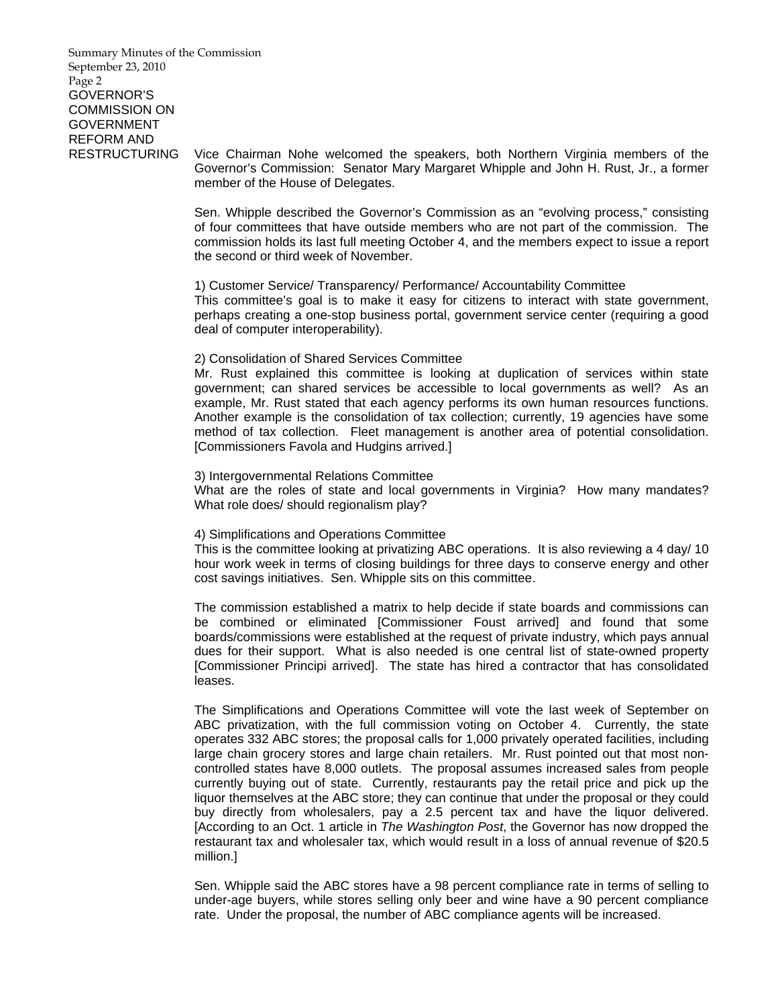Summary Minutes of the Commission September 23, 2010 Page 2 GOVERNOR'S COMMISSION ON GOVERNMENT REFORM AND

RESTRUCTURING Vice Chairman Nohe welcomed the speakers, both Northern Virginia members of the Governor's Commission: Senator Mary Margaret Whipple and John H. Rust, Jr., a former member of the House of Delegates.

> Sen. Whipple described the Governor's Commission as an "evolving process," consisting of four committees that have outside members who are not part of the commission. The commission holds its last full meeting October 4, and the members expect to issue a report the second or third week of November.

## 1) Customer Service/ Transparency/ Performance/ Accountability Committee

 This committee's goal is to make it easy for citizens to interact with state government, perhaps creating a one-stop business portal, government service center (requiring a good deal of computer interoperability).

## 2) Consolidation of Shared Services Committee

 Mr. Rust explained this committee is looking at duplication of services within state government; can shared services be accessible to local governments as well? As an example, Mr. Rust stated that each agency performs its own human resources functions. Another example is the consolidation of tax collection; currently, 19 agencies have some method of tax collection. Fleet management is another area of potential consolidation. [Commissioners Favola and Hudgins arrived.]

## 3) Intergovernmental Relations Committee

 What are the roles of state and local governments in Virginia? How many mandates? What role does/ should regionalism play?

## 4) Simplifications and Operations Committee

 This is the committee looking at privatizing ABC operations. It is also reviewing a 4 day/ 10 hour work week in terms of closing buildings for three days to conserve energy and other cost savings initiatives. Sen. Whipple sits on this committee.

 The commission established a matrix to help decide if state boards and commissions can be combined or eliminated [Commissioner Foust arrived] and found that some boards/commissions were established at the request of private industry, which pays annual dues for their support. What is also needed is one central list of state-owned property [Commissioner Principi arrived]. The state has hired a contractor that has consolidated leases.

 The Simplifications and Operations Committee will vote the last week of September on ABC privatization, with the full commission voting on October 4. Currently, the state operates 332 ABC stores; the proposal calls for 1,000 privately operated facilities, including large chain grocery stores and large chain retailers. Mr. Rust pointed out that most noncontrolled states have 8,000 outlets. The proposal assumes increased sales from people currently buying out of state. Currently, restaurants pay the retail price and pick up the liquor themselves at the ABC store; they can continue that under the proposal or they could buy directly from wholesalers, pay a 2.5 percent tax and have the liquor delivered. [According to an Oct. 1 article in *The Washington Post*, the Governor has now dropped the restaurant tax and wholesaler tax, which would result in a loss of annual revenue of \$20.5 million.]

 Sen. Whipple said the ABC stores have a 98 percent compliance rate in terms of selling to under-age buyers, while stores selling only beer and wine have a 90 percent compliance rate. Under the proposal, the number of ABC compliance agents will be increased.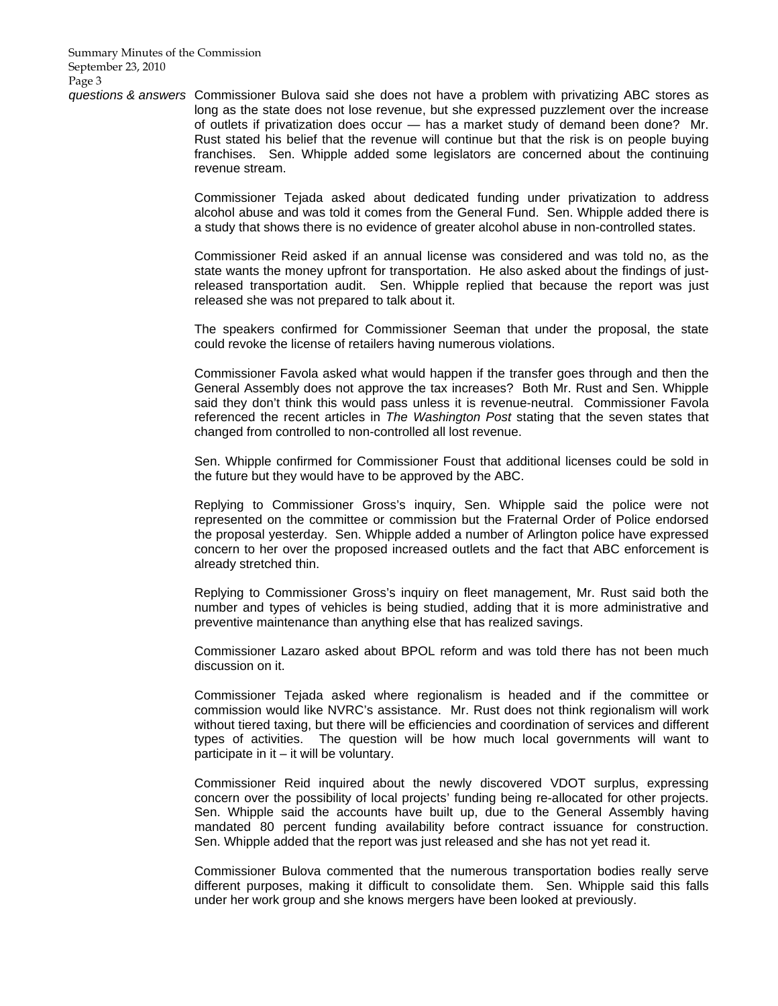*questions & answers* Commissioner Bulova said she does not have a problem with privatizing ABC stores as long as the state does not lose revenue, but she expressed puzzlement over the increase of outlets if privatization does occur — has a market study of demand been done? Mr. Rust stated his belief that the revenue will continue but that the risk is on people buying franchises. Sen. Whipple added some legislators are concerned about the continuing revenue stream.

> Commissioner Tejada asked about dedicated funding under privatization to address alcohol abuse and was told it comes from the General Fund. Sen. Whipple added there is a study that shows there is no evidence of greater alcohol abuse in non-controlled states.

> Commissioner Reid asked if an annual license was considered and was told no, as the state wants the money upfront for transportation. He also asked about the findings of justreleased transportation audit. Sen. Whipple replied that because the report was just released she was not prepared to talk about it.

> The speakers confirmed for Commissioner Seeman that under the proposal, the state could revoke the license of retailers having numerous violations.

> Commissioner Favola asked what would happen if the transfer goes through and then the General Assembly does not approve the tax increases? Both Mr. Rust and Sen. Whipple said they don't think this would pass unless it is revenue-neutral. Commissioner Favola referenced the recent articles in *The Washington Post* stating that the seven states that changed from controlled to non-controlled all lost revenue.

> Sen. Whipple confirmed for Commissioner Foust that additional licenses could be sold in the future but they would have to be approved by the ABC.

> Replying to Commissioner Gross's inquiry, Sen. Whipple said the police were not represented on the committee or commission but the Fraternal Order of Police endorsed the proposal yesterday. Sen. Whipple added a number of Arlington police have expressed concern to her over the proposed increased outlets and the fact that ABC enforcement is already stretched thin.

> Replying to Commissioner Gross's inquiry on fleet management, Mr. Rust said both the number and types of vehicles is being studied, adding that it is more administrative and preventive maintenance than anything else that has realized savings.

> Commissioner Lazaro asked about BPOL reform and was told there has not been much discussion on it.

> Commissioner Tejada asked where regionalism is headed and if the committee or commission would like NVRC's assistance. Mr. Rust does not think regionalism will work without tiered taxing, but there will be efficiencies and coordination of services and different types of activities. The question will be how much local governments will want to  $participate$  in it  $-$  it will be voluntary.

> Commissioner Reid inquired about the newly discovered VDOT surplus, expressing concern over the possibility of local projects' funding being re-allocated for other projects. Sen. Whipple said the accounts have built up, due to the General Assembly having mandated 80 percent funding availability before contract issuance for construction. Sen. Whipple added that the report was just released and she has not yet read it.

> Commissioner Bulova commented that the numerous transportation bodies really serve different purposes, making it difficult to consolidate them. Sen. Whipple said this falls under her work group and she knows mergers have been looked at previously.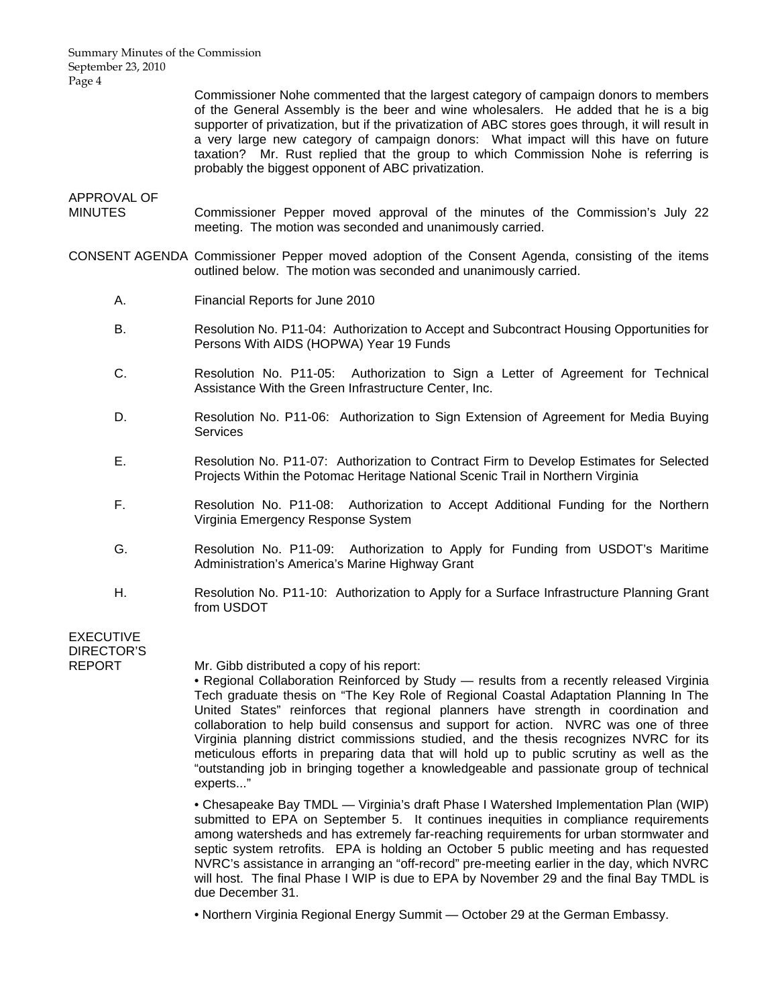Summary Minutes of the Commission September 23, 2010 Page 4

> Commissioner Nohe commented that the largest category of campaign donors to members of the General Assembly is the beer and wine wholesalers. He added that he is a big supporter of privatization, but if the privatization of ABC stores goes through, it will result in a very large new category of campaign donors: What impact will this have on future taxation? Mr. Rust replied that the group to which Commission Nohe is referring is probably the biggest opponent of ABC privatization.

# APPROVAL OF

- MINUTES Commissioner Pepper moved approval of the minutes of the Commission's July 22 meeting. The motion was seconded and unanimously carried.
- CONSENT AGENDA Commissioner Pepper moved adoption of the Consent Agenda, consisting of the items outlined below. The motion was seconded and unanimously carried.
	- A. Financial Reports for June 2010
	- B. Resolution No. P11-04: Authorization to Accept and Subcontract Housing Opportunities for Persons With AIDS (HOPWA) Year 19 Funds
	- C. Resolution No. P11-05: Authorization to Sign a Letter of Agreement for Technical Assistance With the Green Infrastructure Center, Inc.
	- D. Resolution No. P11-06: Authorization to Sign Extension of Agreement for Media Buying **Services**
	- E. Resolution No. P11-07: Authorization to Contract Firm to Develop Estimates for Selected Projects Within the Potomac Heritage National Scenic Trail in Northern Virginia
	- F. Resolution No. P11-08: Authorization to Accept Additional Funding for the Northern Virginia Emergency Response System
	- G. Resolution No. P11-09: Authorization to Apply for Funding from USDOT's Maritime Administration's America's Marine Highway Grant
	- H. Resolution No. P11-10: Authorization to Apply for a Surface Infrastructure Planning Grant from USDOT

# EXECUTIVE DIRECTOR'S

REPORT Mr. Gibb distributed a copy of his report:

• Regional Collaboration Reinforced by Study — results from a recently released Virginia Tech graduate thesis on "The Key Role of Regional Coastal Adaptation Planning In The United States" reinforces that regional planners have strength in coordination and collaboration to help build consensus and support for action. NVRC was one of three Virginia planning district commissions studied, and the thesis recognizes NVRC for its meticulous efforts in preparing data that will hold up to public scrutiny as well as the "outstanding job in bringing together a knowledgeable and passionate group of technical experts..."

• Chesapeake Bay TMDL — Virginia's draft Phase I Watershed Implementation Plan (WIP) submitted to EPA on September 5. It continues inequities in compliance requirements among watersheds and has extremely far-reaching requirements for urban stormwater and septic system retrofits. EPA is holding an October 5 public meeting and has requested NVRC's assistance in arranging an "off-record" pre-meeting earlier in the day, which NVRC will host. The final Phase I WIP is due to EPA by November 29 and the final Bay TMDL is due December 31.

• Northern Virginia Regional Energy Summit — October 29 at the German Embassy.